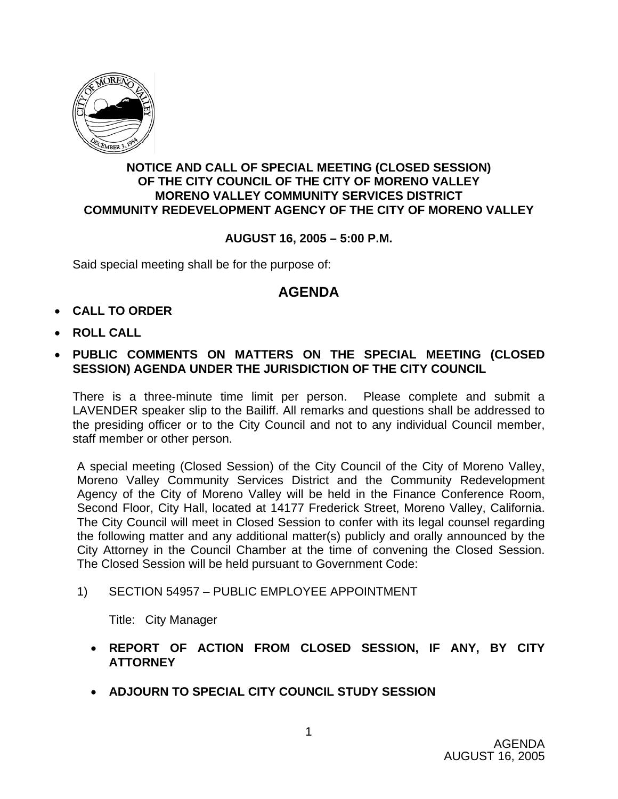

### **NOTICE AND CALL OF SPECIAL MEETING (CLOSED SESSION) OF THE CITY COUNCIL OF THE CITY OF MORENO VALLEY MORENO VALLEY COMMUNITY SERVICES DISTRICT COMMUNITY REDEVELOPMENT AGENCY OF THE CITY OF MORENO VALLEY**

## **AUGUST 16, 2005 – 5:00 P.M.**

Said special meeting shall be for the purpose of:

## **AGENDA**

- **CALL TO ORDER**
- **ROLL CALL**
- **PUBLIC COMMENTS ON MATTERS ON THE SPECIAL MEETING (CLOSED SESSION) AGENDA UNDER THE JURISDICTION OF THE CITY COUNCIL**

There is a three-minute time limit per person. Please complete and submit a LAVENDER speaker slip to the Bailiff. All remarks and questions shall be addressed to the presiding officer or to the City Council and not to any individual Council member, staff member or other person.

A special meeting (Closed Session) of the City Council of the City of Moreno Valley, Moreno Valley Community Services District and the Community Redevelopment Agency of the City of Moreno Valley will be held in the Finance Conference Room, Second Floor, City Hall, located at 14177 Frederick Street, Moreno Valley, California. The City Council will meet in Closed Session to confer with its legal counsel regarding the following matter and any additional matter(s) publicly and orally announced by the City Attorney in the Council Chamber at the time of convening the Closed Session. The Closed Session will be held pursuant to Government Code:

1) SECTION 54957 – PUBLIC EMPLOYEE APPOINTMENT

Title: City Manager

- **REPORT OF ACTION FROM CLOSED SESSION, IF ANY, BY CITY ATTORNEY**
- **ADJOURN TO SPECIAL CITY COUNCIL STUDY SESSION**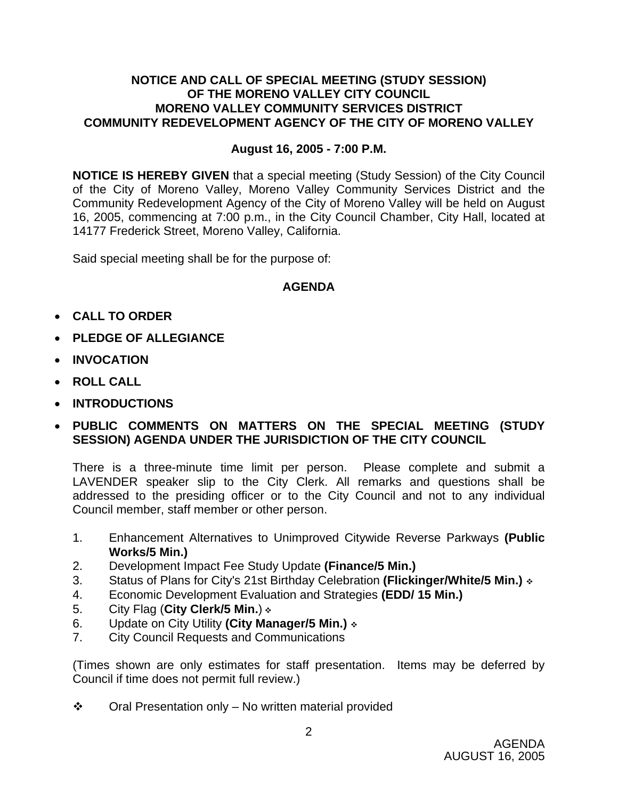### **NOTICE AND CALL OF SPECIAL MEETING (STUDY SESSION) OF THE MORENO VALLEY CITY COUNCIL MORENO VALLEY COMMUNITY SERVICES DISTRICT COMMUNITY REDEVELOPMENT AGENCY OF THE CITY OF MORENO VALLEY**

#### **August 16, 2005 - 7:00 P.M.**

**NOTICE IS HEREBY GIVEN** that a special meeting (Study Session) of the City Council of the City of Moreno Valley, Moreno Valley Community Services District and the Community Redevelopment Agency of the City of Moreno Valley will be held on August 16, 2005, commencing at 7:00 p.m., in the City Council Chamber, City Hall, located at 14177 Frederick Street, Moreno Valley, California.

Said special meeting shall be for the purpose of:

### **AGENDA**

- **CALL TO ORDER**
- **PLEDGE OF ALLEGIANCE**
- **INVOCATION**
- **ROLL CALL**
- **INTRODUCTIONS**
- **PUBLIC COMMENTS ON MATTERS ON THE SPECIAL MEETING (STUDY SESSION) AGENDA UNDER THE JURISDICTION OF THE CITY COUNCIL**

There is a three-minute time limit per person. Please complete and submit a LAVENDER speaker slip to the City Clerk. All remarks and questions shall be addressed to the presiding officer or to the City Council and not to any individual Council member, staff member or other person.

- 1. Enhancement Alternatives to Unimproved Citywide Reverse Parkways **(Public Works/5 Min.)**
- 2. Development Impact Fee Study Update **(Finance/5 Min.)**
- 3. Status of Plans for City's 21st Birthday Celebration **(Flickinger/White/5 Min.)**
- 4. Economic Development Evaluation and Strategies **(EDD/ 15 Min.)**
- 5. City Flag (**City Clerk/5 Min.**)
- 6. Update on City Utility **(City Manager/5 Min.)**
- 7. City Council Requests and Communications

(Times shown are only estimates for staff presentation. Items may be deferred by Council if time does not permit full review.)

 $\div$  Oral Presentation only – No written material provided